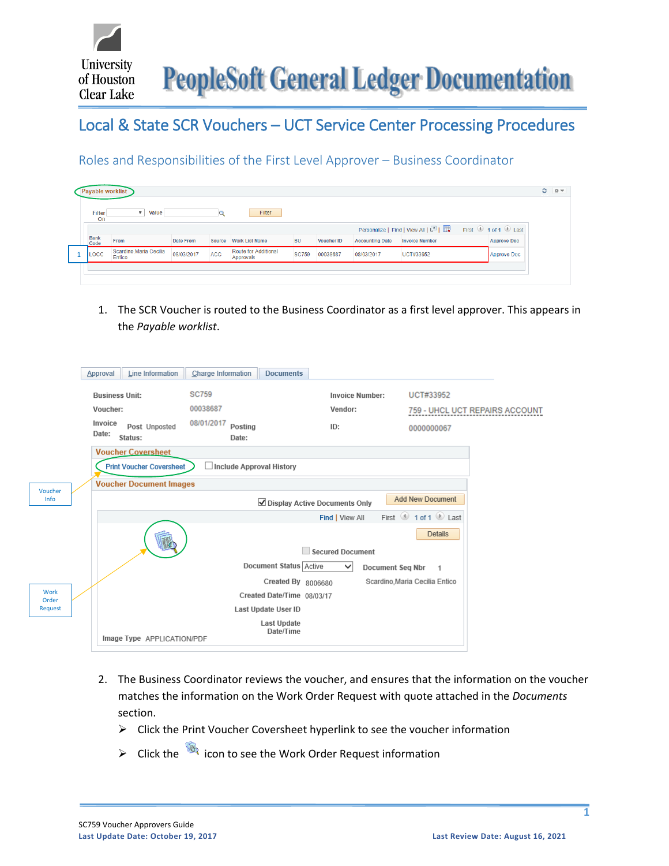

## Local & State SCR Vouchers – UCT Service Center Processing Procedures

Roles and Responsibilities of the First Level Approver – Business Coordinator

| ayable worklist     |                                   |            |               |                                   |              |                   |                        |                                   |                    |
|---------------------|-----------------------------------|------------|---------------|-----------------------------------|--------------|-------------------|------------------------|-----------------------------------|--------------------|
| <b>Filter</b><br>On | Value<br>$\overline{\mathbf{v}}$  |            |               | Filter                            |              |                   |                        |                                   |                    |
|                     |                                   |            |               |                                   |              |                   |                        | Personalize   Find   View All   2 | First 1 of 1 Last  |
| <b>Bank</b><br>Code | From                              | Date From  | <b>Source</b> | <b>Work List Name</b>             | <b>BU</b>    | <b>Voucher ID</b> | <b>Accounting Date</b> | <b>Invoice Number</b>             | <b>Approve Doc</b> |
| LOCC                | Scardino, Maria Cecilia<br>Entico | 08/03/2017 | <b>ACC</b>    | Route for Additional<br>Approvals | <b>SC759</b> | 00038687          | 08/03/2017             | <b>UCT#33952</b>                  | Approve Doc        |

1. The SCR Voucher is routed to the Business Coordinator as a first level approver. This appears in the *Payable worklist*.

|               | Line Information<br>Approval                 | Charge Information             | <b>Documents</b>              |                                         |                                       |
|---------------|----------------------------------------------|--------------------------------|-------------------------------|-----------------------------------------|---------------------------------------|
|               | <b>Business Unit:</b>                        | <b>SC759</b>                   | <b>Invoice Number:</b>        | UCT#33952                               |                                       |
|               | Voucher:                                     | 00038687                       | Vendor:                       |                                         | <b>759 - UHCL UCT REPAIRS ACCOUNT</b> |
|               | Invoice<br>Post Unposted<br>Date:<br>Status: | 08/01/2017<br>Posting<br>Date: | ID:                           | 0000000067                              |                                       |
|               | <b>Voucher Coversheet</b>                    |                                |                               |                                         |                                       |
|               | <b>Print Voucher Coversheet</b>              | Include Approval History       |                               |                                         |                                       |
| Voucher       | <b>Voucher Document Images</b>               |                                |                               |                                         |                                       |
| Info          |                                              |                                | Display Active Documents Only | <b>Add New Document</b>                 |                                       |
|               |                                              |                                | Find   View All               | First $\bigcirc$ 1 of 1 $\bigcirc$ Last |                                       |
|               |                                              |                                |                               | <b>Details</b>                          |                                       |
|               |                                              |                                | <b>Secured Document</b>       |                                         |                                       |
|               |                                              |                                | Document Status   Active<br>v | <b>Document Seq Nbr</b><br>$\mathbf{1}$ |                                       |
|               |                                              |                                | Created By 8006680            | Scardino, Maria Cecilia Entico          |                                       |
| Work<br>Order |                                              |                                | Created Date/Time 08/03/17    |                                         |                                       |
| Request       |                                              | Last Update User ID            |                               |                                         |                                       |
|               | Image Type APPLICATION/PDF                   | <b>Last Update</b>             | Date/Time                     |                                         |                                       |
|               |                                              |                                |                               |                                         |                                       |

- 2. The Business Coordinator reviews the voucher, and ensures that the information on the voucher matches the information on the Work Order Request with quote attached in the *Documents* section.
	- ➢ Click the Print Voucher Coversheet hyperlink to see the voucher information
	- ➢ Click the icon to see the Work Order Request information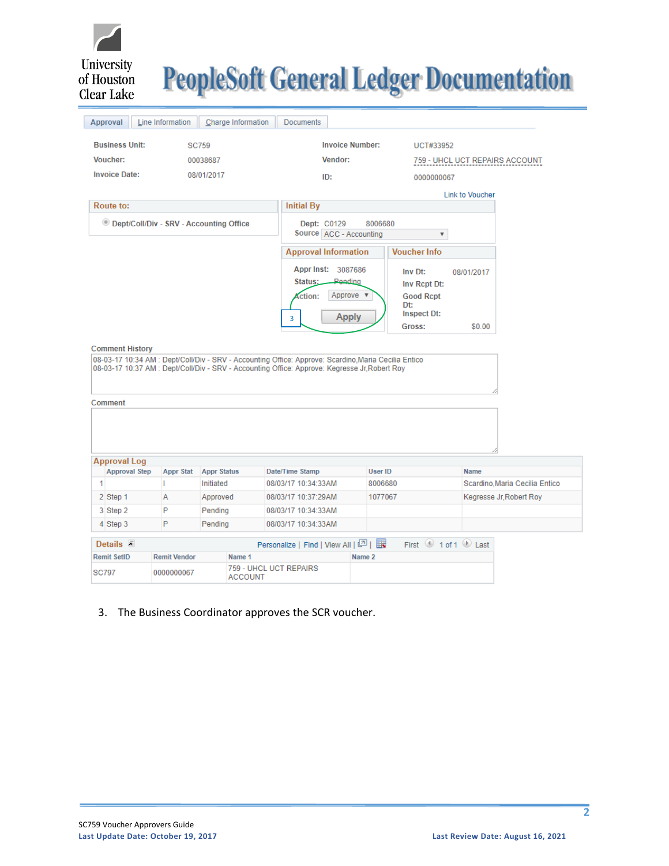

# **PeopleSoft General Ledger Documentation**

|   | Approval                                | Line Information      | Charge Information                        | <b>Documents</b>                                                                                                                                                                                      |                        |                         |                                         |                                |
|---|-----------------------------------------|-----------------------|-------------------------------------------|-------------------------------------------------------------------------------------------------------------------------------------------------------------------------------------------------------|------------------------|-------------------------|-----------------------------------------|--------------------------------|
|   | <b>Business Unit:</b>                   |                       | <b>SC759</b>                              |                                                                                                                                                                                                       | <b>Invoice Number:</b> | UCT#33952               |                                         |                                |
|   | Voucher:                                |                       | 00038687                                  | Vendor:                                                                                                                                                                                               |                        |                         |                                         | 759 - UHCL UCT REPAIRS ACCOUNT |
|   | <b>Invoice Date:</b>                    |                       | 08/01/2017                                | ID:                                                                                                                                                                                                   |                        | 0000000067              |                                         |                                |
|   |                                         |                       |                                           |                                                                                                                                                                                                       |                        |                         | <b>Link to Voucher</b>                  |                                |
|   | Route to:                               |                       |                                           | <b>Initial By</b>                                                                                                                                                                                     |                        |                         |                                         |                                |
|   |                                         |                       |                                           |                                                                                                                                                                                                       | 8006680                |                         |                                         |                                |
|   |                                         |                       | © Dept/Coll/Div - SRV - Accounting Office | Dept: C0129<br>Source ACC - Accounting                                                                                                                                                                |                        | $\overline{\mathbf{v}}$ |                                         |                                |
|   |                                         |                       |                                           | <b>Approval Information</b>                                                                                                                                                                           |                        | <b>Voucher Info</b>     |                                         |                                |
|   |                                         |                       |                                           |                                                                                                                                                                                                       |                        |                         |                                         |                                |
|   |                                         |                       |                                           | Appr Inst: 3087686                                                                                                                                                                                    |                        | Inv Dt:                 | 08/01/2017                              |                                |
|   |                                         |                       |                                           | Status:                                                                                                                                                                                               | Pending                | Inv Rcpt Dt:            |                                         |                                |
|   |                                         |                       |                                           | ction:                                                                                                                                                                                                | Approve v              | <b>Good Rcpt</b><br>Dt: |                                         |                                |
|   |                                         |                       |                                           | 3                                                                                                                                                                                                     | <b>Apply</b>           | <b>Inspect Dt:</b>      |                                         |                                |
|   |                                         |                       |                                           |                                                                                                                                                                                                       |                        | Gross:                  | \$0.00                                  |                                |
|   | <b>Comment History</b>                  |                       |                                           | 08-03-17 10:34 AM : Dept/Coll/Div - SRV - Accounting Office: Approve: Scardino, Maria Cecilia Entico<br>08-03-17 10:37 AM : Dept/Coll/Div - SRV - Accounting Office: Approve: Kegresse Jr, Robert Roy |                        |                         |                                         |                                |
|   | Comment                                 |                       |                                           |                                                                                                                                                                                                       |                        |                         |                                         |                                |
|   | <b>Approval Log</b>                     |                       |                                           |                                                                                                                                                                                                       |                        |                         |                                         |                                |
|   | <b>Approval Step</b>                    | <b>Appr Stat</b><br>т | <b>Appr Status</b>                        | Date/Time Stamp                                                                                                                                                                                       | User ID                |                         | <b>Name</b>                             |                                |
| 1 |                                         |                       | Initiated                                 | 08/03/17 10:34:33AM                                                                                                                                                                                   | 8006680                |                         |                                         | Scardino, Maria Cecilia Entico |
|   | 2 Step 1                                | Α<br>P                | Approved                                  | 08/03/17 10:37:29AM<br>08/03/17 10:34:33AM                                                                                                                                                            | 1077067                |                         |                                         | Kegresse Jr, Robert Roy        |
|   | 3 Step 2<br>4 Step 3                    | P                     | Pending<br>Pending                        | 08/03/17 10:34:33AM                                                                                                                                                                                   |                        |                         |                                         |                                |
|   |                                         |                       |                                           |                                                                                                                                                                                                       |                        |                         |                                         |                                |
|   | Details $\bar{z}$<br><b>Remit SetID</b> | <b>Remit Vendor</b>   | Name 1                                    | Personalize   Find   View All   四   眼                                                                                                                                                                 | Name <sub>2</sub>      |                         | First $\bigcirc$ 1 of 1 $\bigcirc$ Last |                                |

#### 3. The Business Coordinator approves the SCR voucher.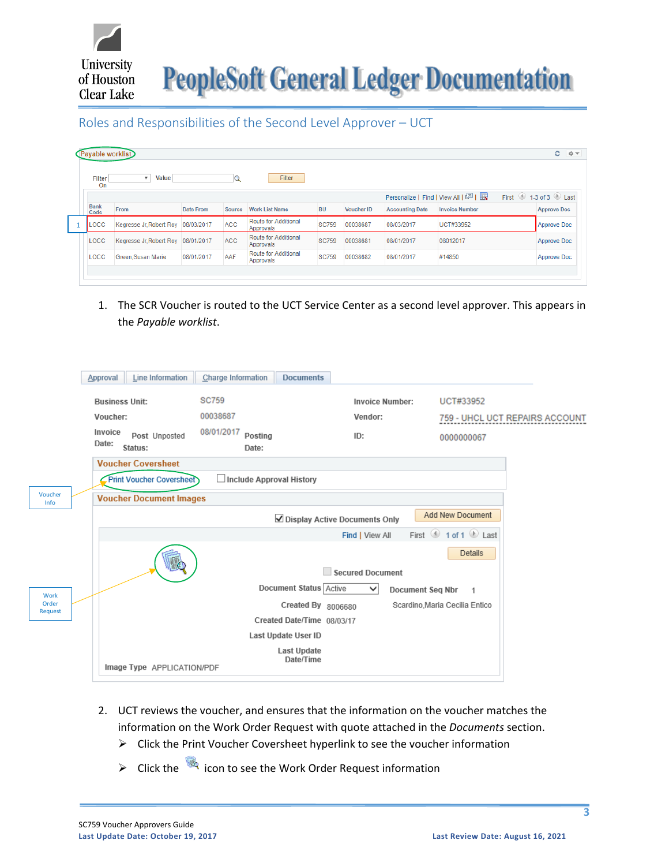

Roles and Responsibilities of the Second Level Approver – UCT

| <b>Filter</b>       | Value<br>۰                         |            |              | Filter                            |              |                   |                        |                                       |                                           |
|---------------------|------------------------------------|------------|--------------|-----------------------------------|--------------|-------------------|------------------------|---------------------------------------|-------------------------------------------|
| On                  |                                    |            | $\mathbf{q}$ |                                   |              |                   |                        |                                       |                                           |
|                     |                                    |            |              |                                   |              |                   |                        | Personalize   Find   View All   2   표 | First $\bigcirc$ 1-3 of 3 $\bigcirc$ Last |
| <b>Bank</b><br>Code | From                               | Date From  | Source       | <b>Work List Name</b>             | <b>BU</b>    | <b>Voucher ID</b> | <b>Accounting Date</b> | <b>Invoice Number</b>                 | <b>Approve Doc</b>                        |
| LOCC                | Kegresse Jr, Robert Roy 08/03/2017 |            | ACC          | Route for Additional<br>Approvals | <b>SC759</b> | 00038687          | 08/03/2017             | UCT#33952                             | Approve Doc                               |
| LOCC                | Kegresse Jr. Robert Roy            | 08/01/2017 | <b>ACC</b>   | Route for Additional<br>Approvals | <b>SC759</b> | 00038681          | 08/01/2017             | 08012017                              | <b>Approve Doc</b>                        |
| LOCC                | Green, Susan Marie                 | 08/01/2017 | AAF          | Route for Additional<br>Approvals | <b>SC759</b> | 00038682          | 08/01/2017             | #14850                                | Approve Doc                               |

1. The SCR Voucher is routed to the UCT Service Center as a second level approver. This appears in the *Payable worklist*.

|                  | Line Information<br>Approval                 | Charge Information<br><b>Documents</b> |                                         |                                |
|------------------|----------------------------------------------|----------------------------------------|-----------------------------------------|--------------------------------|
|                  | <b>Business Unit:</b>                        | <b>SC759</b>                           | <b>Invoice Number:</b>                  | UCT#33952                      |
|                  | Voucher:                                     | 00038687                               | Vendor:                                 | 759 - UHCL UCT REPAIRS ACCOUNT |
|                  | Invoice<br>Post Unposted<br>Date:<br>Status: | 08/01/2017<br>Posting<br>Date:         | ID:                                     | 0000000067                     |
|                  | <b>Voucher Coversheet</b>                    |                                        |                                         |                                |
|                  | <b>Print Voucher Coversheet</b>              | <b>Include Approval History</b>        |                                         |                                |
| Voucher<br>Info  | <b>Voucher Document Images</b>               |                                        |                                         |                                |
|                  |                                              |                                        | ⊻ Display Active Documents Only         | <b>Add New Document</b>        |
|                  |                                              |                                        | Find   View All                         | First 1 of 1 D Last            |
|                  | ш                                            |                                        | <b>Secured Document</b>                 | <b>Details</b>                 |
| Work             |                                              | Document Status Active                 | $\checkmark$<br><b>Document Seg Nbr</b> | $\overline{1}$                 |
| Order<br>Request |                                              |                                        | Created By 8006680                      | Scardino, Maria Cecilia Entico |
|                  |                                              | Created Date/Time 08/03/17             |                                         |                                |
|                  |                                              | Last Update User ID                    |                                         |                                |
|                  | Image Type APPLICATION/PDF                   | <b>Last Update</b><br>Date/Time        |                                         |                                |
|                  |                                              |                                        |                                         |                                |

- 2. UCT reviews the voucher, and ensures that the information on the voucher matches the information on the Work Order Request with quote attached in the *Documents* section.
	- ➢ Click the Print Voucher Coversheet hyperlink to see the voucher information
	- ➢ Click the icon to see the Work Order Request information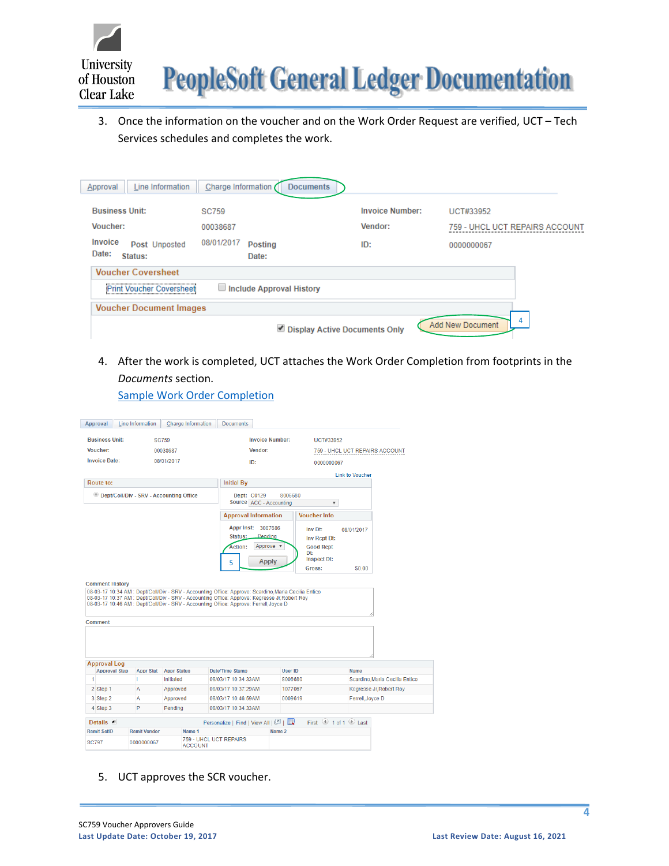

3. Once the information on the voucher and on the Work Order Request are verified, UCT – Tech Services schedules and completes the work.

| Line Information<br>Approval      | Charge Information       | <b>Documents</b>              |                                |   |
|-----------------------------------|--------------------------|-------------------------------|--------------------------------|---|
| <b>Business Unit:</b>             | <b>SC759</b>             | <b>Invoice Number:</b>        | UCT#33952                      |   |
| <b>Voucher:</b><br>Invoice        | 00038687<br>08/01/2017   | Vendor:                       | 759 - UHCL UCT REPAIRS ACCOUNT |   |
| Post Unposted<br>Date:<br>Status: | <b>Posting</b><br>Date:  | ID:                           | 0000000067                     |   |
| <b>Voucher Coversheet</b>         |                          |                               |                                |   |
| Print Voucher Coversheet          | Include Approval History |                               |                                |   |
| <b>Voucher Document Images</b>    |                          |                               |                                | 4 |
|                                   |                          | Display Active Documents Only | Add New Document               |   |

4. After the work is completed, UCT attaches the Work Order Completion from footprints in the *Documents* section.

[Sample Work Order Completion](https://www.uhcl.edu/about/administrative-offices/finance/peoplesoft-finance/documents/scr-work-order-completion-local.pdf)

| Approval                             | Line Information                          | Charge Information              | <b>Documents</b>                                                                       |                        |                                         |                        |                                |
|--------------------------------------|-------------------------------------------|---------------------------------|----------------------------------------------------------------------------------------|------------------------|-----------------------------------------|------------------------|--------------------------------|
| <b>Business Unit:</b>                |                                           | <b>SC759</b>                    |                                                                                        | <b>Invoice Number:</b> | <b>UCT#33952</b>                        |                        |                                |
| Voucher:                             |                                           | 00038687                        | Vendor:                                                                                |                        |                                         |                        | 759 - UHCL UCT REPAIRS ACCOUNT |
| <b>Invoice Date:</b>                 |                                           | 08/01/2017                      | ID:                                                                                    |                        | 0000000067                              |                        |                                |
|                                      |                                           |                                 |                                                                                        |                        |                                         | <b>Link to Voucher</b> |                                |
| Route to:                            |                                           |                                 | <b>Initial By</b>                                                                      |                        |                                         |                        |                                |
|                                      | © Dept/Coll/Div - SRV - Accounting Office |                                 |                                                                                        | 8006680                |                                         |                        |                                |
|                                      |                                           |                                 | Dept: C0129<br>Source ACC - Accounting                                                 |                        | $\overline{\mathbf{v}}$                 |                        |                                |
|                                      |                                           |                                 |                                                                                        |                        | <b>Voucher Info</b>                     |                        |                                |
|                                      |                                           |                                 | <b>Approval Information</b>                                                            |                        |                                         |                        |                                |
|                                      |                                           |                                 | <b>Appr Inst:</b>                                                                      | 3087686                | Inv Dt:                                 | 08/01/2017             |                                |
|                                      |                                           |                                 | Status:                                                                                | Pendina                | Inv Rcpt Dt:                            |                        |                                |
|                                      |                                           |                                 | Action:                                                                                | Approve <b>v</b>       | <b>Good Rcpt</b><br>Dt:                 |                        |                                |
|                                      |                                           |                                 | 5                                                                                      | <b>Apply</b>           | <b>Inspect Dt:</b>                      |                        |                                |
|                                      |                                           |                                 |                                                                                        |                        | Gross:                                  | \$0.00                 |                                |
| Comment                              |                                           |                                 | 08-03-17 10:46 AM : Dept/Coll/Div - SRV - Accounting Office: Approve: Ferrell, Joyce D |                        |                                         |                        |                                |
|                                      |                                           |                                 |                                                                                        |                        |                                         |                        |                                |
| <b>Approval Log</b>                  |                                           |                                 |                                                                                        |                        |                                         |                        |                                |
| <b>Approval Step</b><br>$\mathbf{1}$ | <b>Appr Stat</b><br>т                     | <b>Appr Status</b><br>Initiated | Date/Time Stamp<br>08/03/17 10:34:33AM                                                 | User ID<br>8006680     |                                         | <b>Name</b>            | Scardino, Maria Cecilia Entico |
|                                      |                                           |                                 |                                                                                        |                        |                                         |                        |                                |
| 2 Step 1                             | A<br>Α                                    | Approved                        | 08/03/17 10:37:29AM<br>08/03/17 10:46:59AM                                             | 1077067<br>0009619     |                                         |                        | Kegresse Jr. Robert Roy        |
| 3 Step 2<br>4 Step 3                 | P                                         | Approved<br>Pending             | 08/03/17 10:34:33AM                                                                    |                        |                                         | Ferrell, Joyce D       |                                |
|                                      |                                           |                                 |                                                                                        |                        |                                         |                        |                                |
| Details $\bar{z}$                    |                                           |                                 | Personalize   Find   View All   2                                                      |                        | First $\bigcirc$ 1 of 1 $\bigcirc$ Last |                        |                                |
| <b>Remit SetID</b>                   | <b>Remit Vendor</b>                       | Name 1                          |                                                                                        | Name 2                 |                                         |                        |                                |
| <b>SC797</b>                         | 0000000067                                | <b>ACCOUNT</b>                  | 759 - UHCL UCT REPAIRS                                                                 |                        |                                         |                        |                                |

5. UCT approves the SCR voucher.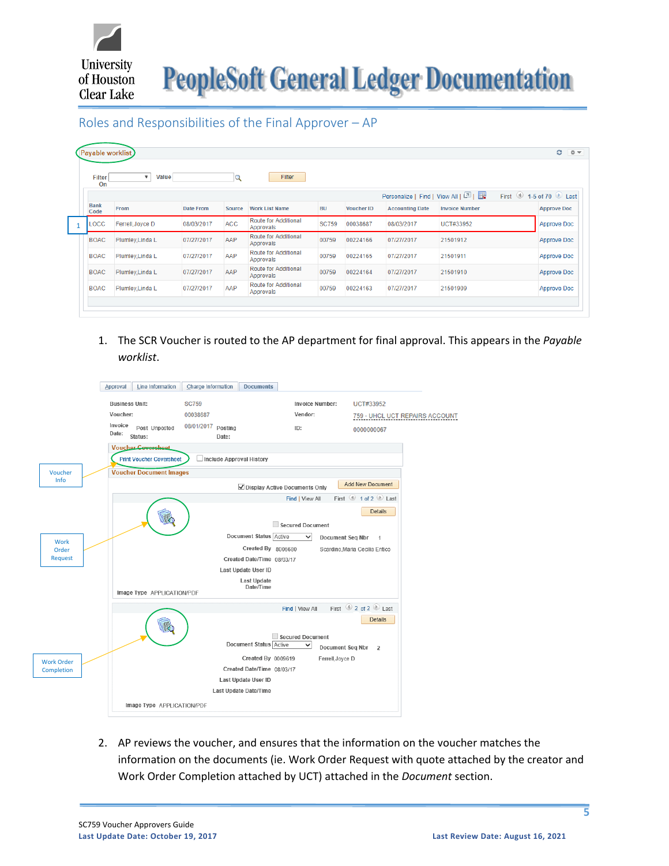

**PeopleSoft General Ledger Documentation** 

Roles and Responsibilities of the Final Approver – AP

|             | <b>Filter</b><br>On | Value<br>$\boldsymbol{\mathrm{v}}$ |            | $\mathbf Q$ | Filter                                   |              |                   |                                   |                       |                      |
|-------------|---------------------|------------------------------------|------------|-------------|------------------------------------------|--------------|-------------------|-----------------------------------|-----------------------|----------------------|
| <b>Bank</b> |                     |                                    |            |             |                                          |              |                   | Personalize   Find   View All   2 |                       | First 1-5 of 70 Last |
| Code        |                     | From                               | Date From  | Source      | <b>Work List Name</b>                    | <b>BU</b>    | <b>Voucher ID</b> | <b>Accounting Date</b>            | <b>Invoice Number</b> | <b>Approve Doc</b>   |
|             | LOCC                | Ferrell, Joyce D                   | 08/03/2017 | <b>ACC</b>  | <b>Route for Additional</b><br>Approvals | <b>SC759</b> | 00038687          | 08/03/2017                        | UCT#33952             | <b>Approve Doc</b>   |
| <b>BOAC</b> |                     | Plumley, Linda L                   | 07/27/2017 | AAP         | Route for Additional<br>Approvals        | 00759        | 00224166          | 07/27/2017                        | 21501912              | <b>Approve Doc</b>   |
| <b>BOAC</b> |                     | Plumley, Linda L                   | 07/27/2017 | AAP         | Route for Additional<br>Approvals        | 00759        | 00224165          | 07/27/2017                        | 21501911              | <b>Approve Doc</b>   |
| <b>BOAC</b> |                     | Plumley, Linda L                   | 07/27/2017 | AAP         | <b>Route for Additional</b><br>Approvals | 00759        | 00224164          | 07/27/2017                        | 21501910              | Approve Doc          |
| <b>BOAC</b> |                     | Plumley, Linda L                   | 07/27/2017 | AAP         | Route for Additional<br>Approvals        | 00759        | 00224163          | 07/27/2017                        | 21501909              | Approve Doc          |

1. The SCR Voucher is routed to the AP department for final approval. This appears in the *Payable worklist*.

|                   | <b>Line Information</b><br>Approval          | <b>Charge Information</b><br><b>Documents</b> |                                         |                                |
|-------------------|----------------------------------------------|-----------------------------------------------|-----------------------------------------|--------------------------------|
|                   | <b>Business Unit:</b>                        | <b>SC759</b>                                  | <b>Invoice Number:</b>                  | UCT#33952                      |
|                   | Voucher:                                     | 00038687                                      | Vendor:                                 | 759 - UHCL UCT REPAIRS ACCOUNT |
|                   | Invoice<br>Post Unposted<br>Date:<br>Status: | 08/01/2017 Posting<br>Date:                   | ID:                                     | 0000000067                     |
|                   | <b>Voucher Coversheet</b>                    |                                               |                                         |                                |
|                   | <b>Print Voucher Coversheet</b>              | Include Approval History                      |                                         |                                |
| Voucher           | <b>Voucher Document Images</b>               |                                               |                                         |                                |
| Info              |                                              |                                               | ☑ Display Active Documents Only         | <b>Add New Document</b>        |
|                   |                                              |                                               | Find   View All                         | First 1 of 2 Last              |
|                   |                                              |                                               |                                         | <b>Details</b>                 |
|                   |                                              |                                               | Secured Document                        |                                |
| Work              |                                              | Document Status Active                        | $\checkmark$<br>Document Seg Nbr        | $\overline{1}$                 |
| Order             |                                              | Created By 8006680                            |                                         | Scardino, Maria Cecilia Entico |
| <b>Request</b>    |                                              | Created Date/Time 08/03/17                    |                                         |                                |
|                   |                                              | Last Update User ID                           |                                         |                                |
|                   | Image Type APPLICATION/PDF                   | <b>Last Update</b><br>Date/Time               |                                         |                                |
|                   |                                              |                                               | Find   View All                         | First 2 of 2 Last              |
|                   |                                              |                                               | <b>Secured Document</b>                 | <b>Details</b>                 |
|                   |                                              | <b>Document Status Active</b>                 | $\checkmark$<br><b>Document Seg Nbr</b> | $\overline{2}$                 |
| <b>Work Order</b> |                                              | Created By 0009619                            | Ferrell, Joyce D                        |                                |
| Completion        |                                              | Created Date/Time 08/03/17                    |                                         |                                |
|                   |                                              | Last Update User ID                           |                                         |                                |
|                   |                                              | Last Update Date/Time                         |                                         |                                |
|                   | Image Type APPLICATION/PDF                   |                                               |                                         |                                |

2. AP reviews the voucher, and ensures that the information on the voucher matches the information on the documents (ie. Work Order Request with quote attached by the creator and Work Order Completion attached by UCT) attached in the *Document* section.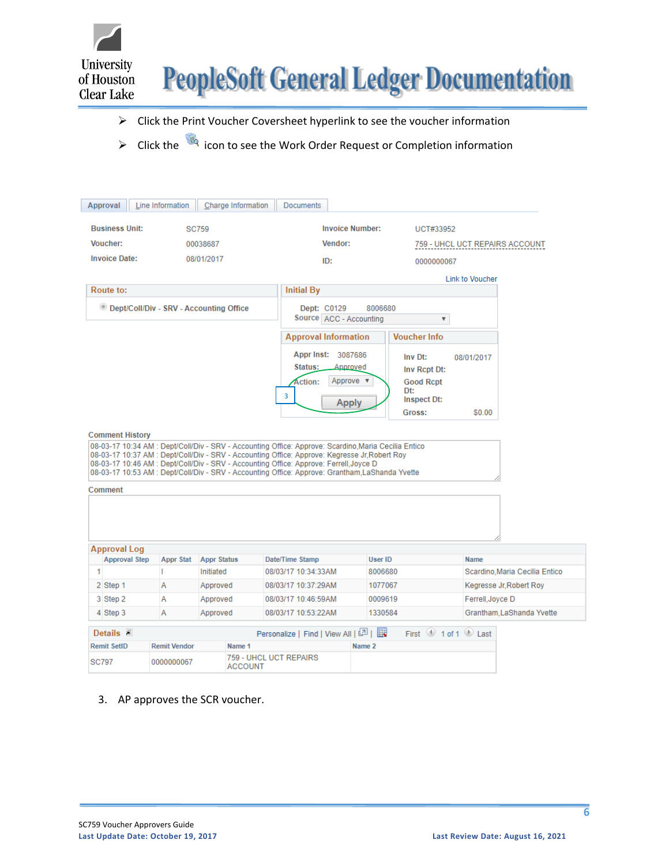



- ➢ Click the Print Voucher Coversheet hyperlink to see the voucher information
- ➢ Click the icon to see the Work Order Request or Completion information

| Approval                          | Line Information    | Charge Information                                                                                                                                                                                                                                                                                                                                                                               | <b>Documents</b>                                     |                                       |                                                                                    |                        |                                |
|-----------------------------------|---------------------|--------------------------------------------------------------------------------------------------------------------------------------------------------------------------------------------------------------------------------------------------------------------------------------------------------------------------------------------------------------------------------------------------|------------------------------------------------------|---------------------------------------|------------------------------------------------------------------------------------|------------------------|--------------------------------|
| <b>Business Unit:</b>             |                     | <b>SC759</b>                                                                                                                                                                                                                                                                                                                                                                                     |                                                      | <b>Invoice Number:</b>                | UCT#33952                                                                          |                        |                                |
| Voucher:                          |                     | 00038687                                                                                                                                                                                                                                                                                                                                                                                         |                                                      | Vendor:                               |                                                                                    |                        | 759 - UHCL UCT REPAIRS ACCOUNT |
| <b>Invoice Date:</b>              |                     | 08/01/2017                                                                                                                                                                                                                                                                                                                                                                                       | ID:                                                  |                                       | 0000000067                                                                         |                        |                                |
|                                   |                     |                                                                                                                                                                                                                                                                                                                                                                                                  |                                                      |                                       |                                                                                    | <b>Link to Voucher</b> |                                |
| Route to:                         |                     |                                                                                                                                                                                                                                                                                                                                                                                                  | <b>Initial By</b>                                    |                                       |                                                                                    |                        |                                |
|                                   |                     | © Dept/Coll/Div - SRV - Accounting Office                                                                                                                                                                                                                                                                                                                                                        | Dept: C0129                                          | 8006680<br>Source ACC - Accounting    | $\overline{\mathbf{v}}$                                                            |                        |                                |
|                                   |                     |                                                                                                                                                                                                                                                                                                                                                                                                  | <b>Approval Information</b>                          |                                       | <b>Voucher Info</b>                                                                |                        |                                |
| <b>Comment History</b><br>Comment |                     | 08-03-17 10:34 AM : Dept/Coll/Div - SRV - Accounting Office: Approve: Scardino, Maria Cecilia Entico<br>08-03-17 10:37 AM : Dept/Coll/Div - SRV - Accounting Office: Approve: Kegresse Jr,Robert Roy<br>08-03-17 10:46 AM : Dept/Coll/Div - SRV - Accounting Office: Approve: Ferrell, Joyce D<br>08-03-17 10:53 AM : Dept/Coll/Div - SRV - Accounting Office: Approve: Grantham.LaShanda Yvette | Appr Inst: 3087686<br>Status:<br><b>Action:</b><br>3 | Annroved<br>Approve ▼<br><b>Apply</b> | Inv Dt:<br>Inv Rcpt Dt:<br><b>Good Rcpt</b><br>Dt:<br><b>Inspect Dt:</b><br>Gross: | 08/01/2017<br>\$0.00   |                                |
| <b>Approval Log</b>               |                     |                                                                                                                                                                                                                                                                                                                                                                                                  |                                                      |                                       |                                                                                    |                        |                                |
| <b>Approval Step</b>              | <b>Appr Stat</b>    | <b>Appr Status</b>                                                                                                                                                                                                                                                                                                                                                                               | Date/Time Stamp                                      | User ID                               |                                                                                    | <b>Name</b>            |                                |
| $\mathbf{1}$                      | т                   | Initiated                                                                                                                                                                                                                                                                                                                                                                                        | 08/03/17 10:34:33AM                                  | 8006680                               |                                                                                    |                        | Scardino. Maria Cecilia Entico |
| 2 Step 1                          | A                   | Approved                                                                                                                                                                                                                                                                                                                                                                                         | 08/03/17 10:37:29AM                                  | 1077067                               |                                                                                    |                        | Kegresse Jr, Robert Roy        |
| 3 Step 2                          | Α                   | Approved                                                                                                                                                                                                                                                                                                                                                                                         | 08/03/17 10:46:59AM                                  | 0009619                               |                                                                                    | Ferrell, Joyce D       |                                |
| 4 Step 3                          | A                   | Approved                                                                                                                                                                                                                                                                                                                                                                                         | 08/03/17 10:53:22AM                                  | 1330584                               |                                                                                    |                        | Grantham, LaShanda Yvette      |
| Details $\bar{z}$                 |                     |                                                                                                                                                                                                                                                                                                                                                                                                  | Personalize   Find   View All   2   표                |                                       | First $\bigcirc$ 1 of 1 $\bigcirc$ Last                                            |                        |                                |
| <b>Remit SetID</b>                | <b>Remit Vendor</b> | Name 1                                                                                                                                                                                                                                                                                                                                                                                           |                                                      | Name 2                                |                                                                                    |                        |                                |
| SC797                             | 0000000067          | <b>ACCOUNT</b>                                                                                                                                                                                                                                                                                                                                                                                   | 759 - UHCL UCT REPAIRS                               |                                       |                                                                                    |                        |                                |

3. AP approves the SCR voucher.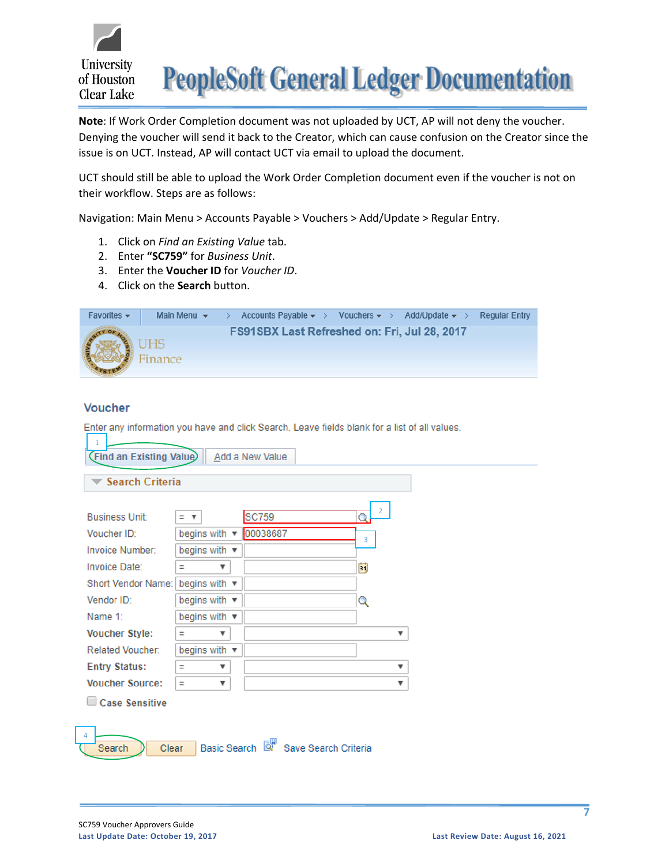

**Note**: If Work Order Completion document was not uploaded by UCT, AP will not deny the voucher. Denying the voucher will send it back to the Creator, which can cause confusion on the Creator since the issue is on UCT. Instead, AP will contact UCT via email to upload the document.

UCT should still be able to upload the Work Order Completion document even if the voucher is not on their workflow. Steps are as follows:

Navigation: Main Menu > Accounts Payable > Vouchers > Add/Update > Regular Entry.

- 1. Click on *Find an Existing Value* tab.
- 2. Enter **"SC759"** for *Business Unit*.
- 3. Enter the **Voucher ID** for *Voucher ID*.
- 4. Click on the **Search** button.



#### **Voucher**

Enter any information you have and click Search. Leave fields blank for a list of all values.

| $\mathbf{1}$<br>(Find an Existing Value)<br><b>Search Criteria</b> |                                | <b>Add a New Value</b>              |                |                |                           |  |
|--------------------------------------------------------------------|--------------------------------|-------------------------------------|----------------|----------------|---------------------------|--|
| <b>Business Unit:</b>                                              | = v                            | <b>SC759</b>                        | Q              | $\overline{2}$ |                           |  |
| Voucher ID:                                                        | begins with $\sqrt{ }$         | 00038687                            | $\overline{3}$ |                |                           |  |
| Invoice Number:                                                    | begins with ▼                  |                                     |                |                |                           |  |
| Invoice Date:                                                      | $\boldsymbol{\mathrm{v}}$<br>Ξ |                                     | BI             |                |                           |  |
| <b>Short Vendor Name:</b>                                          | begins with $\sqrt{ }$         |                                     |                |                |                           |  |
| Vendor ID:                                                         | begins with $\sqrt{ }$         |                                     | Q              |                |                           |  |
| Name 1:                                                            | begins with $\mathbf{v}$       |                                     |                |                |                           |  |
| <b>Voucher Style:</b>                                              | Ξ<br>$\boldsymbol{\mathrm{v}}$ |                                     |                |                | $\boldsymbol{\mathrm{v}}$ |  |
| <b>Related Voucher:</b>                                            | begins with $\mathbf{v}$       |                                     |                |                |                           |  |
| <b>Entry Status:</b>                                               | Ξ<br>▼                         |                                     |                |                | $\boldsymbol{\mathrm{v}}$ |  |
| <b>Voucher Source:</b>                                             | Ξ<br>$\boldsymbol{\mathrm{v}}$ |                                     |                |                | $\boldsymbol{\mathrm{v}}$ |  |
| Case Sensitive                                                     |                                |                                     |                |                |                           |  |
| $\overline{4}$<br>Clear<br>Search                                  |                                | Basic Search & Save Search Criteria |                |                |                           |  |